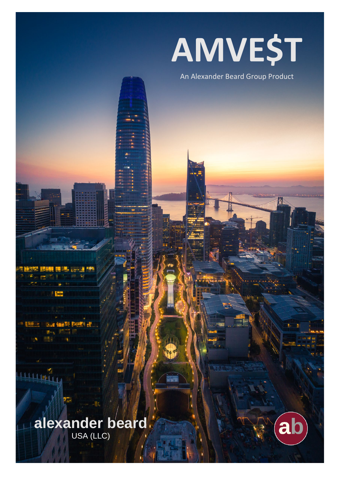# **AMVE\$T**

# An Alexander Beard Group Product

# **alexander beard**

USA (LLC)

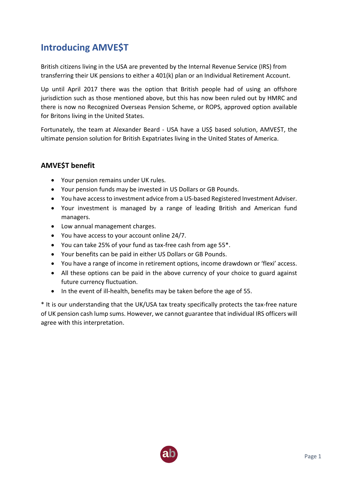# **Introducing AMVE\$T**

British citizens living in the USA are prevented by the Internal Revenue Service (IRS) from transferring their UK pensions to either a 401(k) plan or an Individual Retirement Account.

Up until April 2017 there was the option that British people had of using an offshore jurisdiction such as those mentioned above, but this has now been ruled out by HMRC and there is now no Recognized Overseas Pension Scheme, or ROPS, approved option available for Britons living in the United States.

Fortunately, the team at Alexander Beard - USA have a US\$ based solution, AMVE\$T, the ultimate pension solution for British Expatriates living in the United States of America.

# **AMVE\$T benefit**

- Your pension remains under UK rules.
- Your pension funds may be invested in US Dollars or GB Pounds.
- You have access to investment advice from a US-based Registered Investment Adviser.
- Your investment is managed by a range of leading British and American fund managers.
- Low annual management charges.
- You have access to your account online 24/7.
- You can take 25% of your fund as tax-free cash from age 55\*.
- Your benefits can be paid in either US Dollars or GB Pounds.
- You have a range of income in retirement options, income drawdown or 'flexi' access.
- All these options can be paid in the above currency of your choice to guard against future currency fluctuation.
- In the event of ill-health, benefits may be taken before the age of 55.

\* It is our understanding that the UK/USA tax treaty specifically protects the tax-free nature of UK pension cash lump sums. However, we cannot guarantee that individual IRS officers will agree with this interpretation.

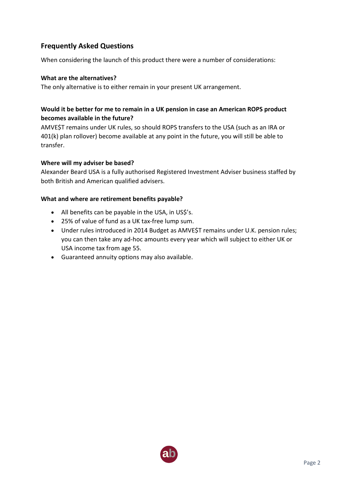# **Frequently Asked Questions**

When considering the launch of this product there were a number of considerations:

#### **What are the alternatives?**

The only alternative is to either remain in your present UK arrangement.

# **Would it be better for me to remain in a UK pension in case an American ROPS product becomes available in the future?**

AMVE\$T remains under UK rules, so should ROPS transfers to the USA (such as an IRA or 401(k) plan rollover) become available at any point in the future, you will still be able to transfer.

#### **Where will my adviser be based?**

Alexander Beard USA is a fully authorised Registered Investment Adviser business staffed by both British and American qualified advisers.

#### **What and where are retirement benefits payable?**

- All benefits can be payable in the USA, in US\$'s.
- 25% of value of fund as a UK tax-free lump sum.
- Under rules introduced in 2014 Budget as AMVE\$T remains under U.K. pension rules; you can then take any ad-hoc amounts every year which will subject to either UK or USA income tax from age 55.
- Guaranteed annuity options may also available.

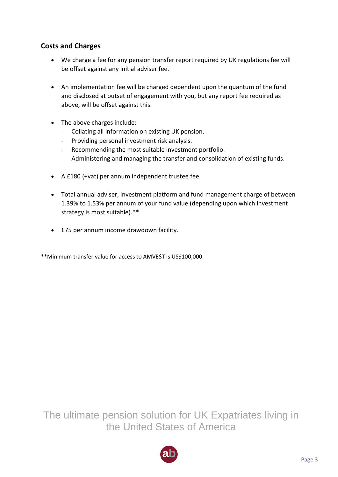# **AMVE\$T Charges**

## **Initial Fees:**

# *Pension transfer viability Report Fee:*

- *1.Defined Contribution Plan(s):*
	- £2,500 plus £500 per additional pension plan.

# *2.Defined Benefit Plan(s):*

- £100,000 to £250,000 £3,500
- £250,000 to £500,000 £4,750
- £500,000 to £750,000 £5,000
- £750,000 to £1,000,000 £7,500
- £1,000,000+ £10,000

## **Annual ongoing Fees:**

- Novia Global Platform Fee: 0.25%
- ABG Managed Portfolio Fee: 0.25%
- Fund Managers' Fee: ≥0.25%
- AB-USA Annual Adviser Fee: 0.75%

The ultimate pension solution for UK Expatriates living in the United States of America